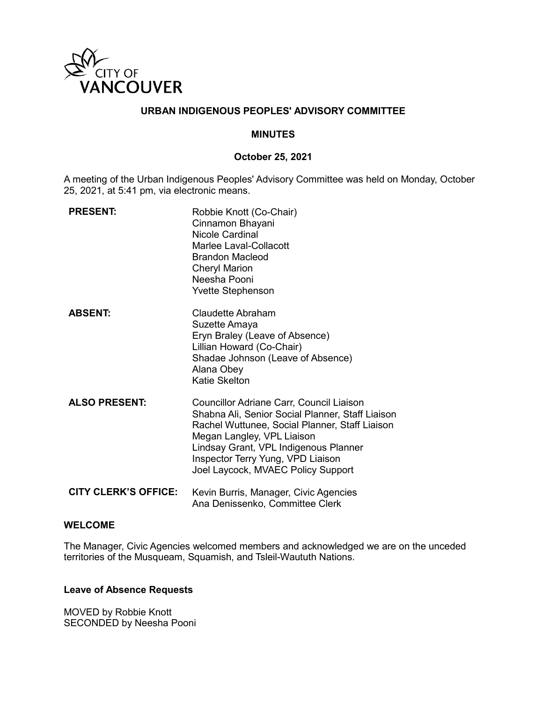

### **URBAN INDIGENOUS PEOPLES' ADVISORY COMMITTEE**

#### **MINUTES**

#### **October 25, 2021**

A meeting of the Urban Indigenous Peoples' Advisory Committee was held on Monday, October 25, 2021, at 5:41 pm, via electronic means.

| <b>PRESENT:</b>             | Robbie Knott (Co-Chair)<br>Cinnamon Bhayani<br>Nicole Cardinal<br>Marlee Laval-Collacott<br><b>Brandon Macleod</b><br><b>Cheryl Marion</b><br>Neesha Pooni<br><b>Yvette Stephenson</b>                                                                                                           |
|-----------------------------|--------------------------------------------------------------------------------------------------------------------------------------------------------------------------------------------------------------------------------------------------------------------------------------------------|
| <b>ABSENT:</b>              | Claudette Abraham<br>Suzette Amaya<br>Eryn Braley (Leave of Absence)<br>Lillian Howard (Co-Chair)<br>Shadae Johnson (Leave of Absence)<br>Alana Obey<br>Katie Skelton                                                                                                                            |
| <b>ALSO PRESENT:</b>        | Councillor Adriane Carr, Council Liaison<br>Shabna Ali, Senior Social Planner, Staff Liaison<br>Rachel Wuttunee, Social Planner, Staff Liaison<br>Megan Langley, VPL Liaison<br>Lindsay Grant, VPL Indigenous Planner<br>Inspector Terry Yung, VPD Liaison<br>Joel Laycock, MVAEC Policy Support |
| <b>CITY CLERK'S OFFICE:</b> | Kevin Burris, Manager, Civic Agencies<br>Ana Denissenko, Committee Clerk                                                                                                                                                                                                                         |

#### **WELCOME**

The Manager, Civic Agencies welcomed members and acknowledged we are on the unceded territories of the Musqueam, Squamish, and Tsleil-Waututh Nations.

#### **Leave of Absence Requests**

MOVED by Robbie Knott SECONDED by Neesha Pooni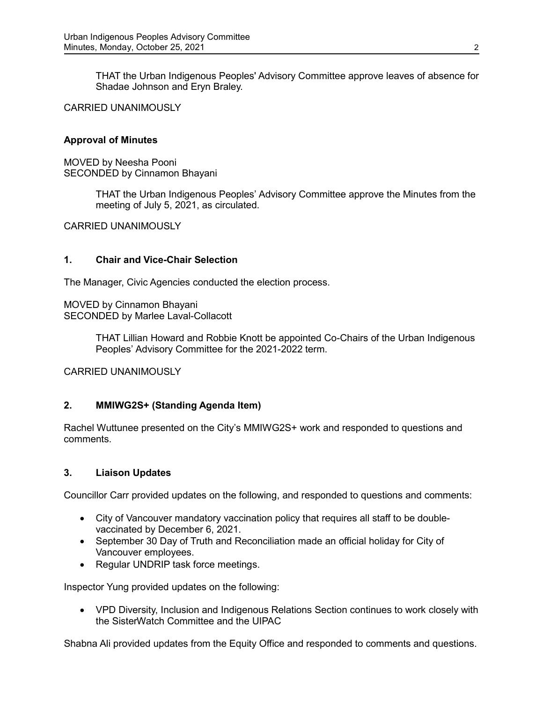THAT the Urban Indigenous Peoples' Advisory Committee approve leaves of absence for Shadae Johnson and Eryn Braley.

CARRIED UNANIMOUSLY

### **Approval of Minutes**

MOVED by Neesha Pooni SECONDED by Cinnamon Bhayani

> THAT the Urban Indigenous Peoples' Advisory Committee approve the Minutes from the meeting of July 5, 2021, as circulated.

CARRIED UNANIMOUSLY

### **1. Chair and Vice-Chair Selection**

The Manager, Civic Agencies conducted the election process.

MOVED by Cinnamon Bhayani SECONDED by Marlee Laval-Collacott

> THAT Lillian Howard and Robbie Knott be appointed Co-Chairs of the Urban Indigenous Peoples' Advisory Committee for the 2021-2022 term.

CARRIED UNANIMOUSLY

# **2. MMIWG2S+ (Standing Agenda Item)**

Rachel Wuttunee presented on the City's MMIWG2S+ work and responded to questions and comments.

# **3. Liaison Updates**

Councillor Carr provided updates on the following, and responded to questions and comments:

- City of Vancouver mandatory vaccination policy that requires all staff to be doublevaccinated by December 6, 2021.
- September 30 Day of Truth and Reconciliation made an official holiday for City of Vancouver employees.
- Regular UNDRIP task force meetings.

Inspector Yung provided updates on the following:

• VPD Diversity, Inclusion and Indigenous Relations Section continues to work closely with the SisterWatch Committee and the UIPAC

Shabna Ali provided updates from the Equity Office and responded to comments and questions.